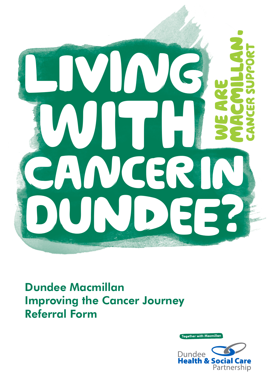

Dundee Macmillan Improving the Cancer Journey Referral Form